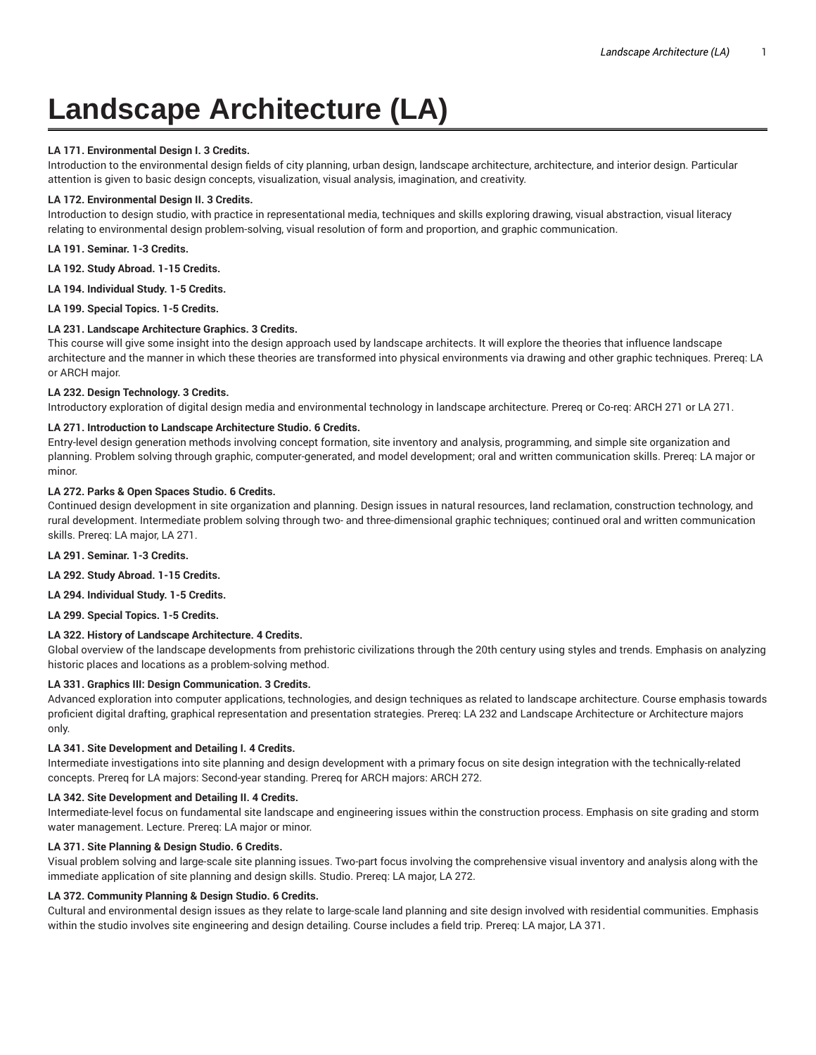# **Landscape Architecture (LA)**

## **LA 171. Environmental Design I. 3 Credits.**

Introduction to the environmental design fields of city planning, urban design, landscape architecture, architecture, and interior design. Particular attention is given to basic design concepts, visualization, visual analysis, imagination, and creativity.

## **LA 172. Environmental Design II. 3 Credits.**

Introduction to design studio, with practice in representational media, techniques and skills exploring drawing, visual abstraction, visual literacy relating to environmental design problem-solving, visual resolution of form and proportion, and graphic communication.

**LA 191. Seminar. 1-3 Credits.**

**LA 192. Study Abroad. 1-15 Credits.**

**LA 194. Individual Study. 1-5 Credits.**

**LA 199. Special Topics. 1-5 Credits.**

#### **LA 231. Landscape Architecture Graphics. 3 Credits.**

This course will give some insight into the design approach used by landscape architects. It will explore the theories that influence landscape architecture and the manner in which these theories are transformed into physical environments via drawing and other graphic techniques. Prereq: LA or ARCH major.

#### **LA 232. Design Technology. 3 Credits.**

Introductory exploration of digital design media and environmental technology in landscape architecture. Prereq or Co-req: ARCH 271 or LA 271.

## **LA 271. Introduction to Landscape Architecture Studio. 6 Credits.**

Entry-level design generation methods involving concept formation, site inventory and analysis, programming, and simple site organization and planning. Problem solving through graphic, computer-generated, and model development; oral and written communication skills. Prereq: LA major or minor.

#### **LA 272. Parks & Open Spaces Studio. 6 Credits.**

Continued design development in site organization and planning. Design issues in natural resources, land reclamation, construction technology, and rural development. Intermediate problem solving through two- and three-dimensional graphic techniques; continued oral and written communication skills. Prereq: LA major, LA 271.

**LA 291. Seminar. 1-3 Credits.**

**LA 292. Study Abroad. 1-15 Credits.**

**LA 294. Individual Study. 1-5 Credits.**

**LA 299. Special Topics. 1-5 Credits.**

## **LA 322. History of Landscape Architecture. 4 Credits.**

Global overview of the landscape developments from prehistoric civilizations through the 20th century using styles and trends. Emphasis on analyzing historic places and locations as a problem-solving method.

## **LA 331. Graphics III: Design Communication. 3 Credits.**

Advanced exploration into computer applications, technologies, and design techniques as related to landscape architecture. Course emphasis towards proficient digital drafting, graphical representation and presentation strategies. Prereq: LA 232 and Landscape Architecture or Architecture majors only.

#### **LA 341. Site Development and Detailing I. 4 Credits.**

Intermediate investigations into site planning and design development with a primary focus on site design integration with the technically-related concepts. Prereq for LA majors: Second-year standing. Prereq for ARCH majors: ARCH 272.

#### **LA 342. Site Development and Detailing II. 4 Credits.**

Intermediate-level focus on fundamental site landscape and engineering issues within the construction process. Emphasis on site grading and storm water management. Lecture. Prereq: LA major or minor.

#### **LA 371. Site Planning & Design Studio. 6 Credits.**

Visual problem solving and large-scale site planning issues. Two-part focus involving the comprehensive visual inventory and analysis along with the immediate application of site planning and design skills. Studio. Prereq: LA major, LA 272.

## **LA 372. Community Planning & Design Studio. 6 Credits.**

Cultural and environmental design issues as they relate to large-scale land planning and site design involved with residential communities. Emphasis within the studio involves site engineering and design detailing. Course includes a field trip. Prereq: LA major, LA 371.